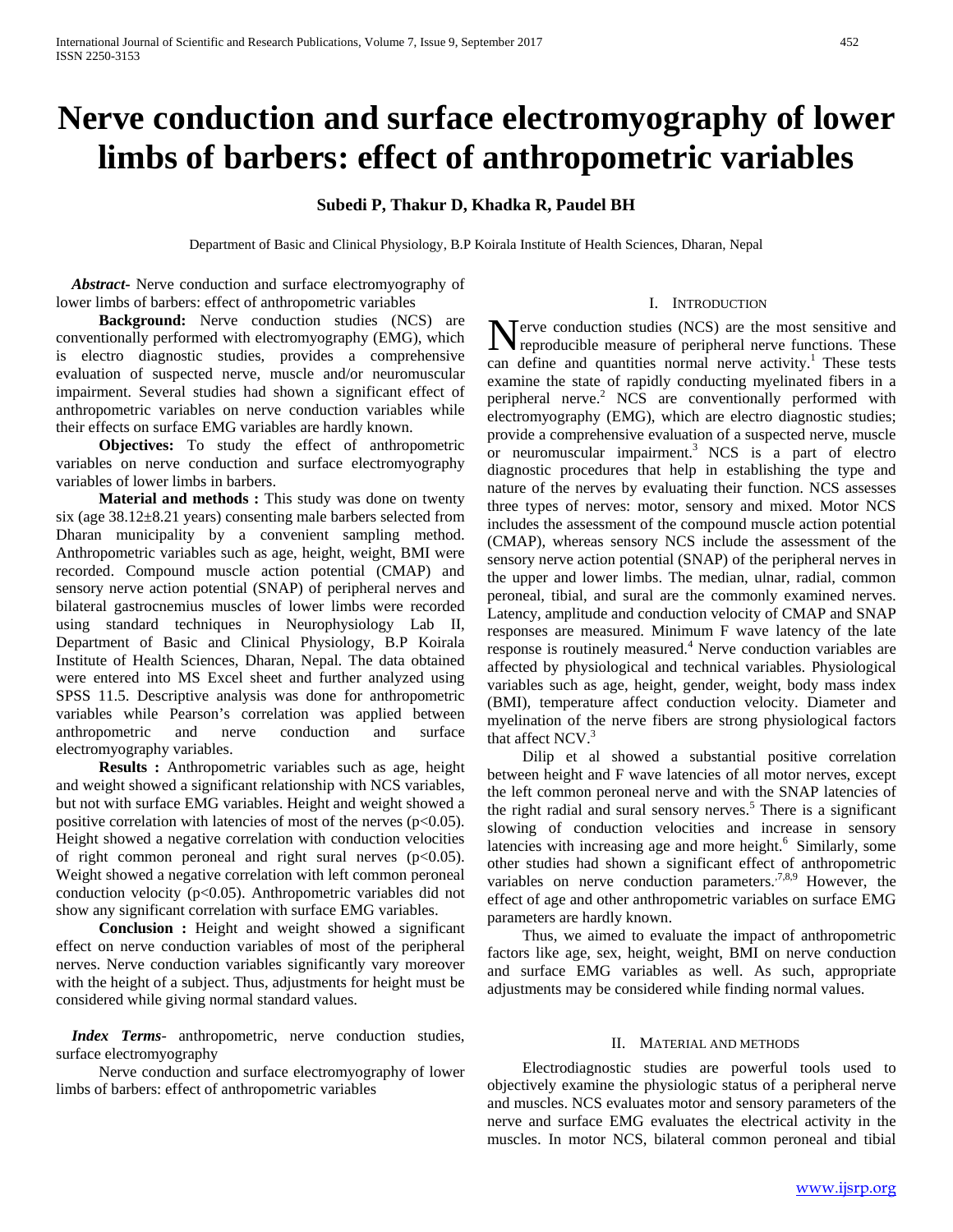# **Nerve conduction and surface electromyography of lower limbs of barbers: effect of anthropometric variables**

# **Subedi P, Thakur D, Khadka R, Paudel BH**

Department of Basic and Clinical Physiology, B.P Koirala Institute of Health Sciences, Dharan, Nepal

 *Abstract***-** Nerve conduction and surface electromyography of lower limbs of barbers: effect of anthropometric variables

 **Background:** Nerve conduction studies (NCS) are conventionally performed with electromyography (EMG), which is electro diagnostic studies, provides a comprehensive evaluation of suspected nerve, muscle and/or neuromuscular impairment. Several studies had shown a significant effect of anthropometric variables on nerve conduction variables while their effects on surface EMG variables are hardly known.

 **Objectives:** To study the effect of anthropometric variables on nerve conduction and surface electromyography variables of lower limbs in barbers.

**Material and methods :** This study was done on twenty six (age 38.12±8.21 years) consenting male barbers selected from Dharan municipality by a convenient sampling method. Anthropometric variables such as age, height, weight, BMI were recorded. Compound muscle action potential (CMAP) and sensory nerve action potential (SNAP) of peripheral nerves and bilateral gastrocnemius muscles of lower limbs were recorded using standard techniques in Neurophysiology Lab II, Department of Basic and Clinical Physiology, B.P Koirala Institute of Health Sciences, Dharan, Nepal. The data obtained were entered into MS Excel sheet and further analyzed using SPSS 11.5. Descriptive analysis was done for anthropometric variables while Pearson's correlation was applied between anthropometric and nerve conduction and surface electromyography variables.

 **Results :** Anthropometric variables such as age, height and weight showed a significant relationship with NCS variables, but not with surface EMG variables. Height and weight showed a positive correlation with latencies of most of the nerves  $(p<0.05)$ . Height showed a negative correlation with conduction velocities of right common peroneal and right sural nerves  $(p<0.05)$ . Weight showed a negative correlation with left common peroneal conduction velocity (p<0.05). Anthropometric variables did not show any significant correlation with surface EMG variables.

 **Conclusion :** Height and weight showed a significant effect on nerve conduction variables of most of the peripheral nerves. Nerve conduction variables significantly vary moreover with the height of a subject. Thus, adjustments for height must be considered while giving normal standard values.

 *Index Terms*- anthropometric, nerve conduction studies, surface electromyography

 Nerve conduction and surface electromyography of lower limbs of barbers: effect of anthropometric variables

#### I. INTRODUCTION

Terve conduction studies (NCS) are the most sensitive and Nerve conduction studies (NCS) are the most sensitive and<br>reproducible measure of peripheral nerve functions. These can define and quantities normal nerve activity.<sup>1</sup> These tests examine the state of rapidly conducting myelinated fibers in a peripheral nerve. $2$  NCS are conventionally performed with electromyography (EMG), which are electro diagnostic studies; provide a comprehensive evaluation of a suspected nerve, muscle or neuromuscular impairment.<sup>3</sup> NCS is a part of electro diagnostic procedures that help in establishing the type and nature of the nerves by evaluating their function. NCS assesses three types of nerves: motor, sensory and mixed. Motor NCS includes the assessment of the compound muscle action potential (CMAP), whereas sensory NCS include the assessment of the sensory nerve action potential (SNAP) of the peripheral nerves in the upper and lower limbs. The median, ulnar, radial, common peroneal, tibial, and sural are the commonly examined nerves. Latency, amplitude and conduction velocity of CMAP and SNAP responses are measured. Minimum F wave latency of the late response is routinely measured.<sup>4</sup> Nerve conduction variables are affected by physiological and technical variables. Physiological variables such as age, height, gender, weight, body mass index (BMI), temperature affect conduction velocity. Diameter and myelination of the nerve fibers are strong physiological factors that affect  $NCV<sup>3</sup>$ .

 Dilip et al showed a substantial positive correlation between height and F wave latencies of all motor nerves, except the left common peroneal nerve and with the SNAP latencies of the right radial and sural sensory nerves.<sup>5</sup> There is a significant slowing of conduction velocities and increase in sensory latencies with increasing age and more height.<sup>6</sup> Similarly, some other studies had shown a significant effect of anthropometric variables on nerve conduction parameters.<sup>7,8,9</sup> However, the effect of age and other anthropometric variables on surface EMG parameters are hardly known.

 Thus, we aimed to evaluate the impact of anthropometric factors like age, sex, height, weight, BMI on nerve conduction and surface EMG variables as well. As such, appropriate adjustments may be considered while finding normal values.

#### II. MATERIAL AND METHODS

 Electrodiagnostic studies are powerful tools used to objectively examine the physiologic status of a peripheral nerve and muscles. NCS evaluates motor and sensory parameters of the nerve and surface EMG evaluates the electrical activity in the muscles. In motor NCS, bilateral common peroneal and tibial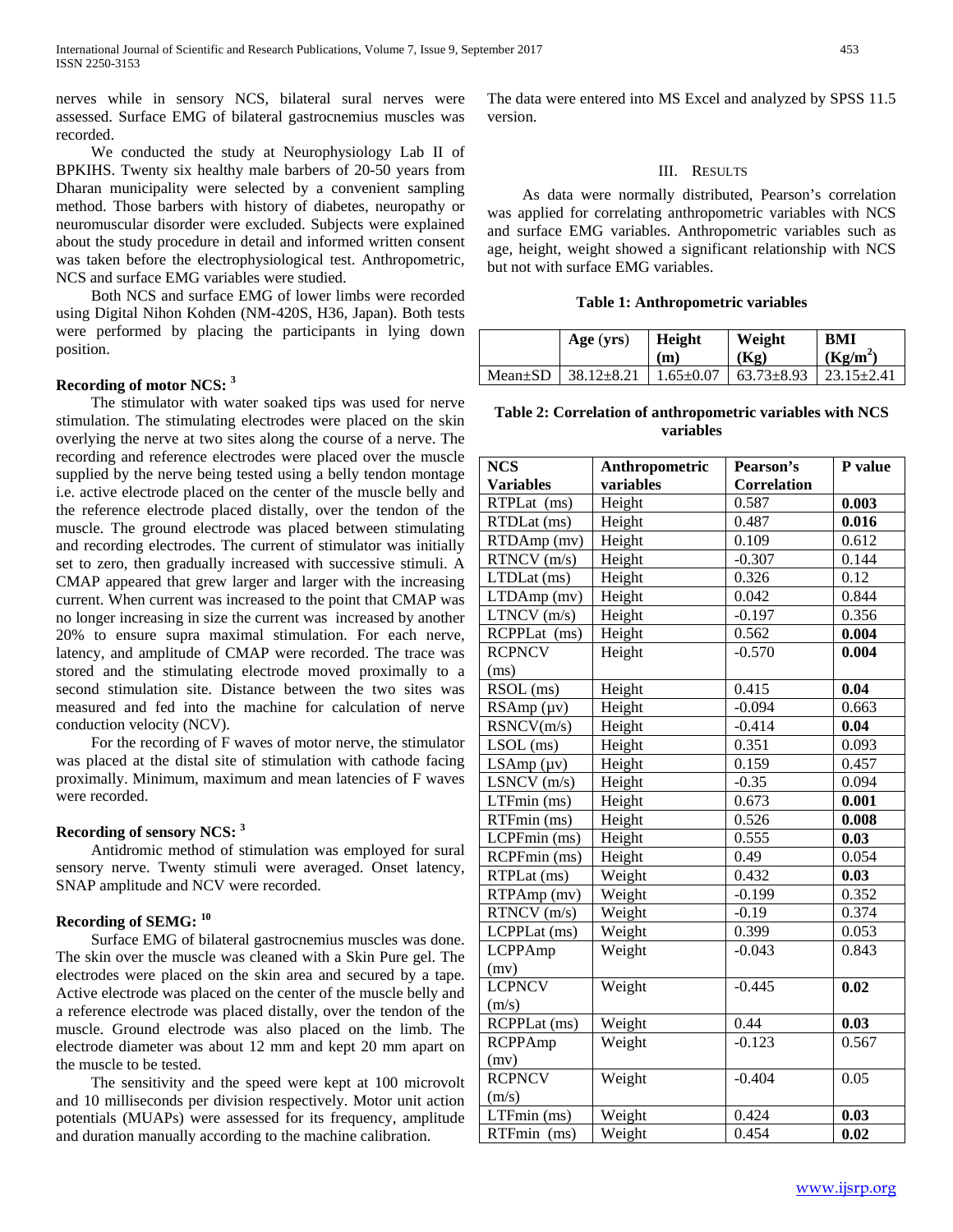nerves while in sensory NCS, bilateral sural nerves were assessed. Surface EMG of bilateral gastrocnemius muscles was recorded.

 We conducted the study at Neurophysiology Lab II of BPKIHS. Twenty six healthy male barbers of 20-50 years from Dharan municipality were selected by a convenient sampling method. Those barbers with history of diabetes, neuropathy or neuromuscular disorder were excluded. Subjects were explained about the study procedure in detail and informed written consent was taken before the electrophysiological test. Anthropometric, NCS and surface EMG variables were studied.

 Both NCS and surface EMG of lower limbs were recorded using Digital Nihon Kohden (NM-420S, H36, Japan). Both tests were performed by placing the participants in lying down position.

## **Recording of motor NCS: <sup>3</sup>**

 The stimulator with water soaked tips was used for nerve stimulation. The stimulating electrodes were placed on the skin overlying the nerve at two sites along the course of a nerve. The recording and reference electrodes were placed over the muscle supplied by the nerve being tested using a belly tendon montage i.e. active electrode placed on the center of the muscle belly and the reference electrode placed distally, over the tendon of the muscle. The ground electrode was placed between stimulating and recording electrodes. The current of stimulator was initially set to zero, then gradually increased with successive stimuli. A CMAP appeared that grew larger and larger with the increasing current. When current was increased to the point that CMAP was no longer increasing in size the current was increased by another 20% to ensure supra maximal stimulation. For each nerve, latency, and amplitude of CMAP were recorded. The trace was stored and the stimulating electrode moved proximally to a second stimulation site. Distance between the two sites was measured and fed into the machine for calculation of nerve conduction velocity (NCV).

 For the recording of F waves of motor nerve, the stimulator was placed at the distal site of stimulation with cathode facing proximally. Minimum, maximum and mean latencies of F waves were recorded.

# **Recording of sensory NCS: 3**

 Antidromic method of stimulation was employed for sural sensory nerve. Twenty stimuli were averaged. Onset latency, SNAP amplitude and NCV were recorded.

# **Recording of SEMG: <sup>10</sup>**

 Surface EMG of bilateral gastrocnemius muscles was done. The skin over the muscle was cleaned with a Skin Pure gel. The electrodes were placed on the skin area and secured by a tape. Active electrode was placed on the center of the muscle belly and a reference electrode was placed distally, over the tendon of the muscle. Ground electrode was also placed on the limb. The electrode diameter was about 12 mm and kept 20 mm apart on the muscle to be tested.

 The sensitivity and the speed were kept at 100 microvolt and 10 milliseconds per division respectively. Motor unit action potentials (MUAPs) were assessed for its frequency, amplitude and duration manually according to the machine calibration.

The data were entered into MS Excel and analyzed by SPSS 11.5 version.

#### III. RESULTS

 As data were normally distributed, Pearson's correlation was applied for correlating anthropometric variables with NCS and surface EMG variables. Anthropometric variables such as age, height, weight showed a significant relationship with NCS but not with surface EMG variables.

#### **Table 1: Anthropometric variables**

|               | Age $(yrs)$ | Height<br>(m) | Weight<br>(Kg)                                           | BMI<br>(Kg/m <sup>2</sup> ) |
|---------------|-------------|---------------|----------------------------------------------------------|-----------------------------|
| $Mean \pm SD$ |             |               | $\vert$ 38.12±8.21   1.65±0.07   63.73±8.93   23.15±2.41 |                             |

### **Table 2: Correlation of anthropometric variables with NCS variables**

| <b>NCS</b>                    | Anthropometric | Pearson's          | P value |
|-------------------------------|----------------|--------------------|---------|
| <b>Variables</b>              | variables      | <b>Correlation</b> |         |
| RTPLat (ms)                   | Height         | 0.587              | 0.003   |
| RTDLat (ms)                   | Height         | 0.487              | 0.016   |
| RTDAmp (mv)                   | Height         | 0.109              | 0.612   |
| RTNCV (m/s)                   | Height         | $-0.307$           | 0.144   |
| LTDLat (ms)                   | Height         | 0.326              | 0.12    |
| LTDAmp (mv)                   | Height         | 0.042              | 0.844   |
| LTNCV (m/s)                   | Height         | $-0.197$           | 0.356   |
| RCPPLat (ms)                  | Height         | 0.562              | 0.004   |
| <b>RCPNCV</b>                 | Height         | $-0.570$           | 0.004   |
| (ms)                          |                |                    |         |
| $\overline{\text{RSOL}}$ (ms) | Height         | 0.415              | 0.04    |
| RSAmp (µv)                    | Height         | $-0.094$           | 0.663   |
| RSNCV(m/s)                    | Height         | $-0.414$           | 0.04    |
| $LSOL$ (ms)                   | Height         | 0.351              | 0.093   |
| LSAmp (µv)                    | Height         | 0.159              | 0.457   |
| LSNCV (m/s)                   | Height         | $-0.35$            | 0.094   |
| LTFmin (ms)                   | Height         | 0.673              | 0.001   |
| RTFmin (ms)                   | Height         | 0.526              | 0.008   |
| LCPFmin (ms)                  | Height         | 0.555              | 0.03    |
| RCPFmin (ms)                  | Height         | 0.49               | 0.054   |
| RTPLat (ms)                   | Weight         | 0.432              | 0.03    |
| RTPAmp (mv)                   | Weight         | $-0.199$           | 0.352   |
| RTNCV (m/s)                   | Weight         | $-0.19$            | 0.374   |
| LCPPLat (ms)                  | Weight         | 0.399              | 0.053   |
| <b>LCPPAmp</b>                | Weight         | $-0.043$           | 0.843   |
| (mv)                          |                |                    |         |
| <b>LCPNCV</b>                 | Weight         | $-0.445$           | 0.02    |
| (m/s)                         |                |                    |         |
| RCPPLat (ms)                  | Weight         | 0.44               | 0.03    |
| <b>RCPPAmp</b>                | Weight         | $-0.123$           | 0.567   |
| (mv)                          |                |                    |         |
| <b>RCPNCV</b>                 | Weight         | $-0.404$           | 0.05    |
| (m/s)                         |                |                    |         |
| LTFmin (ms)                   | Weight         | 0.424              | 0.03    |
| RTFmin (ms)                   | Weight         | 0.454              | 0.02    |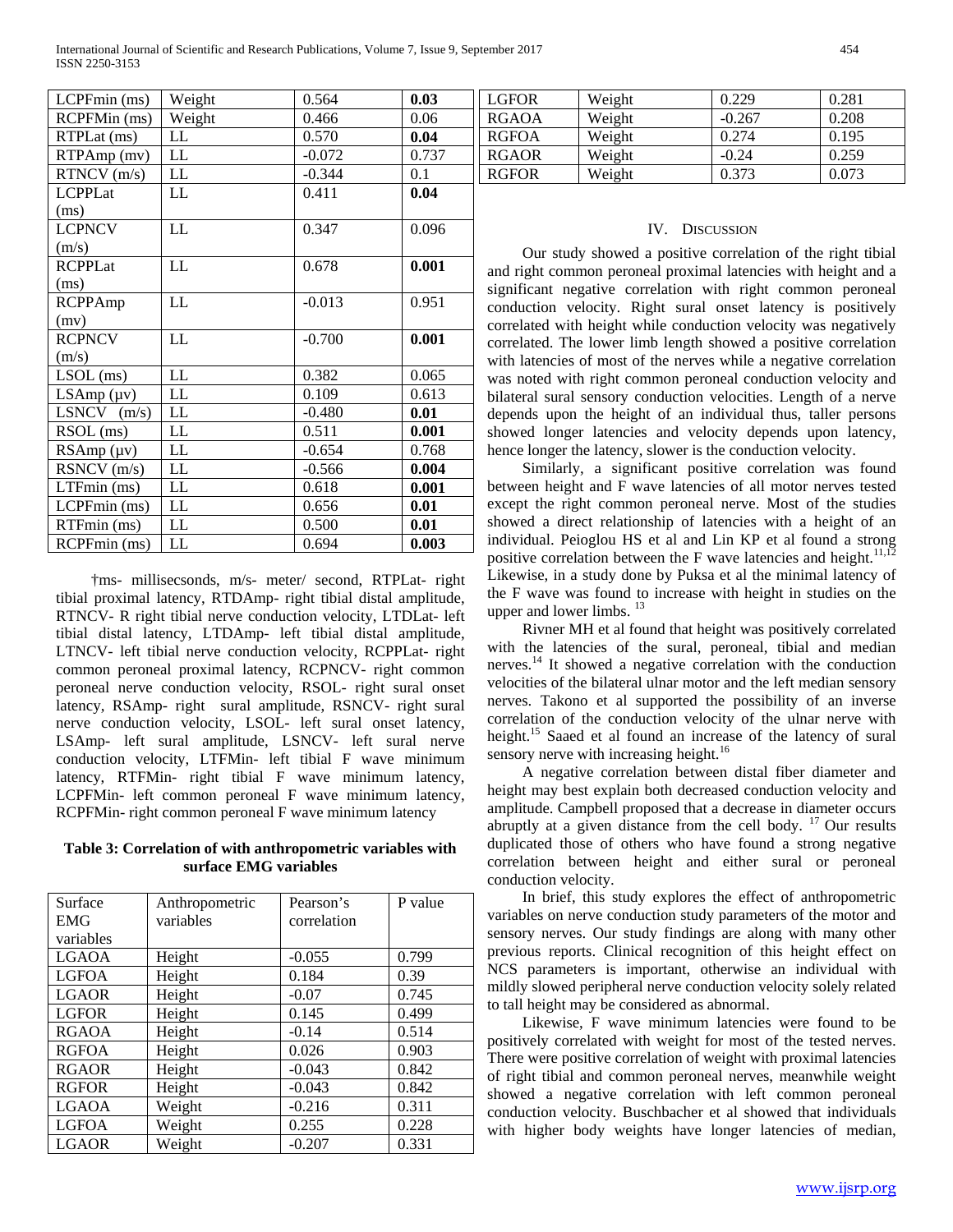| LCPFmin (ms)   | Weight | 0.564    | 0.03  |
|----------------|--------|----------|-------|
| RCPFMin (ms)   | Weight | 0.466    | 0.06  |
| RTPLat (ms)    | LL     | 0.570    | 0.04  |
| RTPAmp (mv)    | LL     | $-0.072$ | 0.737 |
| RTNCV(m/s)     | LL     | $-0.344$ | 0.1   |
| <b>LCPPLat</b> | LL     | 0.411    | 0.04  |
| (ms)           |        |          |       |
| <b>LCPNCV</b>  | LL     | 0.347    | 0.096 |
| (m/s)          |        |          |       |
| <b>RCPPLat</b> | LL     | 0.678    | 0.001 |
| (ms)           |        |          |       |
| <b>RCPPAmp</b> | LL     | $-0.013$ | 0.951 |
| (mv)           |        |          |       |
| <b>RCPNCV</b>  | LL     | $-0.700$ | 0.001 |
| (m/s)          |        |          |       |
| $LSOL$ (ms)    | LL     | 0.382    | 0.065 |
| LSAmp (µv)     | LL     | 0.109    | 0.613 |
| $LSNCV$ (m/s)  | LL     | $-0.480$ | 0.01  |
| RSOL (ms)      | LL     | 0.511    | 0.001 |
| RSAmp (µv)     | LL     | $-0.654$ | 0.768 |
| RSNCV (m/s)    | LL     | $-0.566$ | 0.004 |
| LTFmin (ms)    | LL     | 0.618    | 0.001 |
| LCPFmin (ms)   | LL     | 0.656    | 0.01  |
| RTFmin (ms)    | LL     | 0.500    | 0.01  |
| RCPFmin (ms)   | LL     | 0.694    | 0.003 |

 †ms- millisecsonds, m/s- meter/ second, RTPLat- right tibial proximal latency, RTDAmp- right tibial distal amplitude, RTNCV- R right tibial nerve conduction velocity, LTDLat- left tibial distal latency, LTDAmp- left tibial distal amplitude, LTNCV- left tibial nerve conduction velocity, RCPPLat- right common peroneal proximal latency, RCPNCV- right common peroneal nerve conduction velocity, RSOL- right sural onset latency, RSAmp- right sural amplitude, RSNCV- right sural nerve conduction velocity, LSOL- left sural onset latency, LSAmp- left sural amplitude, LSNCV- left sural nerve conduction velocity, LTFMin- left tibial F wave minimum latency, RTFMin- right tibial F wave minimum latency, LCPFMin- left common peroneal F wave minimum latency, RCPFMin- right common peroneal F wave minimum latency

**Table 3: Correlation of with anthropometric variables with surface EMG variables**

| Surface      | Anthropometric | Pearson's   | P value |
|--------------|----------------|-------------|---------|
| <b>EMG</b>   | variables      | correlation |         |
| variables    |                |             |         |
| <b>LGAOA</b> | Height         | $-0.055$    | 0.799   |
| <b>LGFOA</b> | Height         | 0.184       | 0.39    |
| <b>LGAOR</b> | Height         | $-0.07$     | 0.745   |
| <b>LGFOR</b> | Height         | 0.145       | 0.499   |
| <b>RGAOA</b> | Height         | $-0.14$     | 0.514   |
| <b>RGFOA</b> | Height         | 0.026       | 0.903   |
| <b>RGAOR</b> | Height         | $-0.043$    | 0.842   |
| <b>RGFOR</b> | Height         | $-0.043$    | 0.842   |
| <b>LGAOA</b> | Weight         | $-0.216$    | 0.311   |
| <b>LGFOA</b> | Weight         | 0.255       | 0.228   |
| <b>LGAOR</b> | Weight         | $-0.207$    | 0.331   |

| 0.03  | <b>LGFOR</b> | Weight | 0.229    | 0.281 |
|-------|--------------|--------|----------|-------|
| 0.06  | <b>RGAOA</b> | Weight | $-0.267$ | 0.208 |
| 0.04  | <b>RGFOA</b> | Weight | 0.274    | 0.195 |
| 0.737 | <b>RGAOR</b> | Weight | $-0.24$  | 0.259 |
| 0.1   | <b>RGFOR</b> | Weight | 0.373    | 0.073 |

# IV. DISCUSSION

 Our study showed a positive correlation of the right tibial and right common peroneal proximal latencies with height and a significant negative correlation with right common peroneal conduction velocity. Right sural onset latency is positively correlated with height while conduction velocity was negatively correlated. The lower limb length showed a positive correlation with latencies of most of the nerves while a negative correlation was noted with right common peroneal conduction velocity and bilateral sural sensory conduction velocities. Length of a nerve depends upon the height of an individual thus, taller persons showed longer latencies and velocity depends upon latency, hence longer the latency, slower is the conduction velocity.

 Similarly, a significant positive correlation was found between height and F wave latencies of all motor nerves tested except the right common peroneal nerve. Most of the studies showed a direct relationship of latencies with a height of an individual. Peioglou HS et al and Lin KP et al found a strong positive correlation between the F wave latencies and height.<sup>11,12</sup> Likewise, in a study done by Puksa et al the minimal latency of the F wave was found to increase with height in studies on the upper and lower limbs.  $13$ 

 Rivner MH et al found that height was positively correlated with the latencies of the sural, peroneal, tibial and median nerves.<sup>14</sup> It showed a negative correlation with the conduction velocities of the bilateral ulnar motor and the left median sensory nerves. Takono et al supported the possibility of an inverse correlation of the conduction velocity of the ulnar nerve with height.<sup>15</sup> Saaed et al found an increase of the latency of sural sensory nerve with increasing height.<sup>16</sup>

 A negative correlation between distal fiber diameter and height may best explain both decreased conduction velocity and amplitude. Campbell proposed that a decrease in diameter occurs abruptly at a given distance from the cell body.  $17$  Our results duplicated those of others who have found a strong negative correlation between height and either sural or peroneal conduction velocity.

 In brief, this study explores the effect of anthropometric variables on nerve conduction study parameters of the motor and sensory nerves. Our study findings are along with many other previous reports. Clinical recognition of this height effect on NCS parameters is important, otherwise an individual with mildly slowed peripheral nerve conduction velocity solely related to tall height may be considered as abnormal.

 Likewise, F wave minimum latencies were found to be positively correlated with weight for most of the tested nerves. There were positive correlation of weight with proximal latencies of right tibial and common peroneal nerves, meanwhile weight showed a negative correlation with left common peroneal conduction velocity. Buschbacher et al showed that individuals with higher body weights have longer latencies of median,